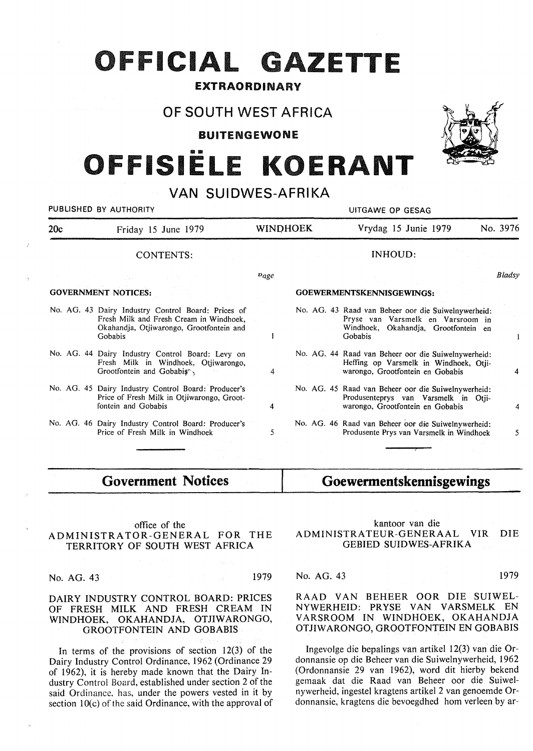# **OFFICIAL GAZETTE**

#### EXTRAORDINARY

#### OF SOUTH WEST AFRICA

BUITENGEWONE

# OFFISIËLE KOERANT

### VAN SUIDWES-AFRIKA

| PUBLISHED BY AUTHORITY     |                                                                                                                                                      |           |                 | UITGAWE OP GESAG                                                                                                                            |          |
|----------------------------|------------------------------------------------------------------------------------------------------------------------------------------------------|-----------|-----------------|---------------------------------------------------------------------------------------------------------------------------------------------|----------|
| 20c<br>Friday 15 June 1979 |                                                                                                                                                      |           | <b>WINDHOEK</b> | Vrydag 15 Junie 1979                                                                                                                        | No. 3976 |
|                            | <b>CONTENTS:</b>                                                                                                                                     |           |                 | INHOUD:                                                                                                                                     |          |
|                            |                                                                                                                                                      | $p_{age}$ |                 |                                                                                                                                             | Bladsy   |
|                            | <b>GOVERNMENT NOTICES:</b>                                                                                                                           |           |                 | GOEWERMENTSKENNISGEWINGS:                                                                                                                   |          |
|                            | No. AG. 43 Dairy Industry Control Board: Prices of<br>Fresh Milk and Fresh Cream in Windhoek,<br>Okahandja, Otjiwarongo, Grootfontein and<br>Gobabis |           |                 | No. AG. 43 Raad van Beheer oor die Suiwelnywerheid:<br>Pryse van Varsmelk en Varsroom in<br>Windhoek, Okahandja, Grootfontein en<br>Gobabis |          |
|                            | No. AG. 44 Dairy Industry Control Board: Levy on<br>Fresh Milk in Windhoek, Otjiwarongo,<br>Grootfontein and Gobabis                                 | 4         |                 | No. AG. 44 Raad van Beheer oor die Suiwelnywerheid:<br>Heffing op Varsmelk in Windhoek, Otji-<br>warongo, Grootfontein en Gobabis           |          |
|                            | No. AG. 45 Dairy Industry Control Board: Producer's<br>Price of Fresh Milk in Otjiwarongo, Groot-<br>fontein and Gobabis                             | 4         |                 | No. AG. 45 Raad van Beheer oor die Suiwelnywerheid:<br>Produsenteprys van Varsmelk in Otii-<br>warongo, Grootfontein en Gobabis             | 4        |
|                            | No. AG. 46 Dairy Industry Control Board: Producer's<br>Price of Fresh Milk in Windhoek                                                               | 5         |                 | No. AG. 46 Raad van Beheer oor die Suiwelnywerheid:<br>Produsente Prys van Varsmelk in Windhoek                                             | 5.       |

### **Government Notices**

#### office of the ADMINISTRATOR-GENERAL FOR THE TERRITORY OF SOUTH WEST AFRICA

No. AG. 43 1979

#### **DAIRY INDUSTRY CONTROL BOARD: PRICES OF FRESH MILK AND FRESH CREAM IN**  WINDHOEK, OKAHANDJA, OTJIWARONGO, **GROOTFONTEIN AND GOBABIS**

In terms of the provisions of section 12(3) of the Dairy Industry Control Ordinance, 1962 (Ordinance 29 of 1962), it is hereby made known that the Dairy Industry Control Board, established under section 2 of the said Ordinance, has, under the powers vested in it by section 10(c) of the said Ordinance, with the approval of

## **Goewermentskennisgewings**

#### kantoor van die ADMINISTRATEUR-GENERAAL VIR DIE GEBIED SUIDWES-AFRIKA

No. AG. 43 1979

#### RAAD VAN BEHEER OOR DIE SUIWEL-NYWERHEID: PRYSE VAN VARSMELK EN VARSROOM IN WINDHOEK, OKAHANDJA OTJIWARONGO, GROOTFONTEIN EN GOBABIS

Ingevolge die bepalings van artikel 12(3) van die Ordonnansie op die Beheer van die Suiwelnywerheid, 1962 (Ordonnansie 29 van 1962), word dit hierby bekend gernaak dat die Raad van Beheer oor die Suiwelnywerheid, ingestel kragtens artikel 2 van genoemde Ordonnansie, kragtens die bevoegdhed horn verleen by ar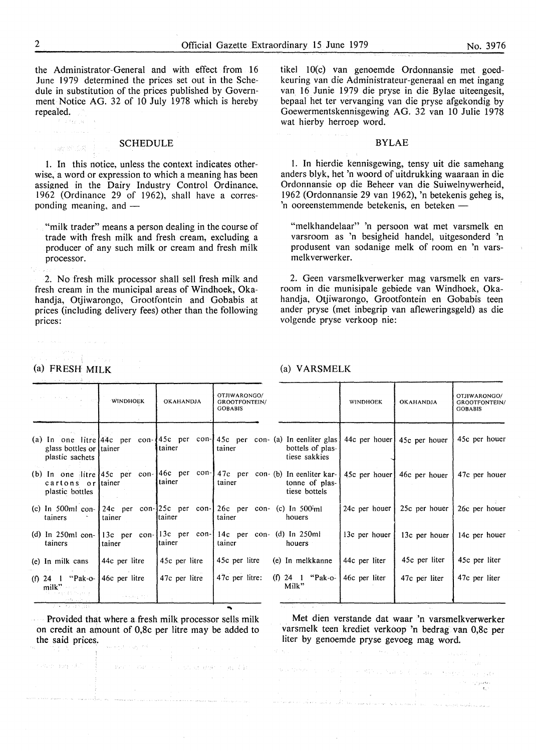the Administrator-General and with effect from 16 June 1979 determined the prices set out in the Schedule in substitution of the prices published by Government Notice AG. 32 of 10 July 1978 which is hereby repealed:

#### **SCHEDULE**

I. In this notice, unless the context indicates otherwise, a word or expression to which a meaning has been assigned in the Dairy Industry Control Ordinance, 1962 (Ordinance 29 of 1962), shall have a corresponding meaning, and  $-$ 

"milk trader" means a person dealing in the course of trade with fresh milk and fresh cream, excluding a producer of any such milk or cream and fresh milk processor.

2. No fresh milk processor shall sell fresh milk and fresh cream in the municipal areas of Windhoek, Okahandja, Otjiwarongo, Grootfontein and Gobabis at prices (including delivery fees) other than the following prices:

tikel IO(c) van genoemde Ordonnansie met goedkeuring van die Administrateur-generaal en met ingang van 16 Junie 1979 die pryse in die Bylae uiteengesit, bepaal het ter vervanging van die pryse afgekondig by Goewermentskennisgewing AG. 32 van 10 Julie 1978 wat hierby herroep word.

#### BYLAE

l. In hierdie kennisgewing, tensy uit die samehang anders blyk, het 'n woord of uitdrukking waaraan in die Ordonnansie op die Beheer van die Suiwelnywerheid, l 962 (Ordonnansie 29 van 1962), 'n betekenis geheg is, 'n ooreenstemmende betekenis, en beteken -

"melkhandelaar" 'n persoon wat met varsmelk en varsroom as 'n besigheid handel, uitgesonderd 'n produsent van sodanige melk of room en 'n varsmelkverwerker.

2. Geen varsmelkverwerker mag varsmelk en varsroom in die munisipale gebiede van Windhoek, Okahandja, Otjiwarongo, Grootfontein en Gobabis teen ander pryse (met inbegrip van afleweringsgeld) as die volgende pryse verkoop nie:

#### (a) **FRESH MILK**

en de la falla<br>Espainia

totale for (AP) of the part approach

#### (a) V ARSMELK

ing a straight

|                                                                                   | <b>WINDHOEK</b> | <b>OKAHANDJA</b> | OTJIWARONGO/<br><b>GROOTFONTEIN/</b><br><b>GOBABIS</b>                                                                                    |                                   | <b>WINDHOEK</b>       | <b>OKAHANDJA</b>            | OTJIWARONGO/<br>GROOTFONTEIN/<br><b>GOBABIS</b> |
|-----------------------------------------------------------------------------------|-----------------|------------------|-------------------------------------------------------------------------------------------------------------------------------------------|-----------------------------------|-----------------------|-----------------------------|-------------------------------------------------|
| glass bottles or tainer<br>plastic sachets                                        |                 | tainer           | (a) In one litre $ 44c$ per con- $ 45c$ per con-145c per con- (a) In eenliter glas   44c per houer<br>tainer                              | bottels of plas-<br>tiese sakkies |                       | 45c per houer               | 45c per houer                                   |
| cartons or tainer<br>plastic bottles                                              |                 | tainer           | (b) In one litre $45c$ per con- $146c$ per con- $147c$ per con-(b) In eenliter kar-<br>tainer                                             | tonne of plas-<br>tiese bottels   |                       | 45c per houer 46c per houer | 47c per houer                                   |
| tainers                                                                           | tainer          | Itainer          | (c) In 500ml con- $\left[24c \text{ per con-}125c \text{ per con-}126c \text{ per con-} (c) \text{ In } 500 \text{ in} \right]$<br>tainer | houers                            | 24c per houer $\vert$ | 25c per houer               | 26c per houer                                   |
| tainers                                                                           | tainer          | tainer           | (d) In 250ml con- $ 13c$ per con- $ 13c$ per con- $ 14c$ per con- $ d$ ) In 250ml<br>tainer                                               | houers                            | 13c per houer         | 13c per houer               | 14c per houer                                   |
| (e) In milk cans                                                                  | 44c per litre   | 45c per litre    | 45c per litre                                                                                                                             | (e) In melkkanne                  | 44c per liter         | 45c per liter               | 45c per liter                                   |
| (f) 24 $\parallel$ "Pak-o- 46c per litre<br>$milk$ $\cdots$<br>有足球 机单重性 医反射性脊柱 化氟 | 大き数 投資資金        | 47c per litre    | 47c per litre:                                                                                                                            | (f) 24 1 "Pak-o-<br>Milk"         | 46c per liter         | 47c per liter               | 47c per liter                                   |
|                                                                                   |                 |                  |                                                                                                                                           |                                   |                       |                             |                                                 |

~

The State of British Congress of Bank

**Provided that where a fresh milk processor sells milk** on credit an amount of 0,8c per litre may be added to the said prices.

Met dien verstande dat waar 'n varsmelkverwerker varsmelk teen krediet verkoop 'n bedrag van 0,8c per liter by genoemde pryse gevoeg mag word.

**Carl College** 

 $\sim$   $\sim$ 

whether<br>  $\alpha_{\rm eff}$  ,  $\beta_{\rm eff}$  ,  $\beta_{\rm eff}$  , and<br>  $\beta_{\rm eff}$  ,  $\beta_{\rm eff}$  ,  $\beta_{\rm eff}$ 

**COUNTRY** .<br>Kabupatèn Bandung

Trade RC CSE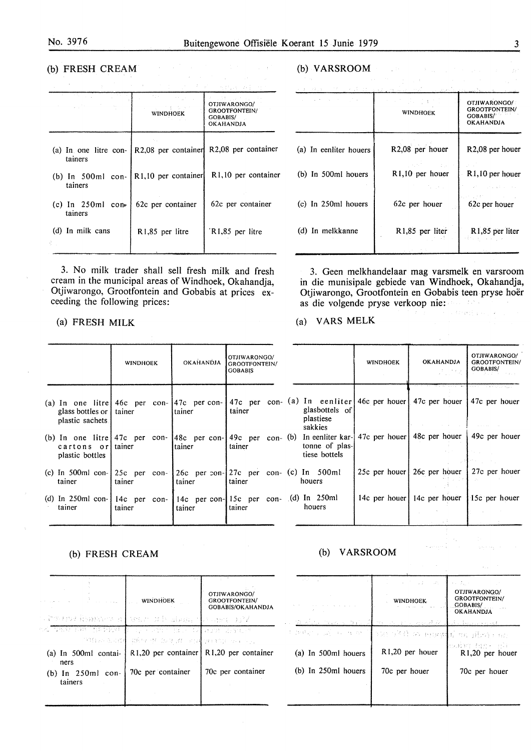$\bar{\omega}$ 

#### (b) **FRESH CREAM**

| <b>STATE STATE</b>               | WINDHOEK                         | n a shi ne san<br>OTJIWARONGO/<br><b>GROOTFONTEIN/</b><br><b>GOBABIS/</b><br><b>OKAHANDJA</b> |
|----------------------------------|----------------------------------|-----------------------------------------------------------------------------------------------|
| (a) In one litre con-<br>tainers |                                  | R2,08 per container R2,08 per container                                                       |
| $(b)$ In 500ml con-<br>tainers   | R <sub>1</sub> ,10 per container | R <sub>1</sub> ,10 per container                                                              |
| $(c)$ In 250ml con-<br>tainers   | 62c per container                | 62c per container                                                                             |
| (d) In milk cans                 | R1,85 per litre                  | R1,85 per litre                                                                               |

 $\mathcal{L}^{\mathcal{L}}(\mathcal{L}^{\mathcal{L}}(\mathcal{L}^{\mathcal{L}}))$  ,  $\mathcal{L}^{\mathcal{L}}(\mathcal{L}^{\mathcal{L}}(\mathcal{L}^{\mathcal{L}}))$ 

 $\bar{z}$ 

3. No milk trader shall sell fresh milk and fresh cream in the municipal areas of Windhoek, Okahandja, Otjiwarongo, Grootfontein and Gobabis at prices exceeding the following prices:

#### (a) FRESH MILK

|                                                                                                                           | <b>WINDHOEK</b> |        | <b>OKAHANDJA</b> | OTJIWARONGO/<br><b>GROOTFONTEIN/</b><br><b>GOBABIS</b> |  |                          |
|---------------------------------------------------------------------------------------------------------------------------|-----------------|--------|------------------|--------------------------------------------------------|--|--------------------------|
| (a) In one litre $ 46c$ per con- $ 47c$ per con- $ 47c$ per con- $(a) I$<br>glass bottles or   tainer<br>plastic sachets. |                 | tainer |                  | tainer                                                 |  | $\mathbf{g}$<br>p.<br>Sź |
| (b) In one litre $47c$ per con- $48c$ per con- $49c$ per con- (b) In<br>cartons or tainer<br>plastic bottles              |                 | tainer |                  | tainer                                                 |  | tc<br>ti                 |
| (c) In 500ml con- $25c$ per con- $26c$ per con- $27c$ per con- $(c)$ In<br>tainer                                         | tainer          | tainer |                  | tainer                                                 |  | ho                       |
| (d) In 250ml con- $ $ 14c per con- $ $ 14c per con- $ $ 15c per con- $ $ d) In<br>tainer                                  | tainer          | tainer |                  | tainer                                                 |  | h                        |

#### (b) **FRESH CREAM**

| a<br>Tanzania da Santo Alegre                      | <b>WINDHOEK</b>                | OTJIWARONGO/<br><b>GROOTFONTEIN/</b><br><b>GOBABIS/OKAHANDJA</b> |
|----------------------------------------------------|--------------------------------|------------------------------------------------------------------|
| alterne inspektor all entre di signal la cape op?Z |                                |                                                                  |
| od van die gebaar pool van de Folkeep wat s        |                                |                                                                  |
|                                                    | "柳红沙龙同群"(既被"执"年才,君、对其"对自制"的,可以 |                                                                  |
| (a) In $500ml$ contai-<br>ners                     |                                | $R1,20$ per container   $R1,20$ per container                    |
| (b) In 250ml con-<br>tainers                       | 70c per container              | 70c per container                                                |
|                                                    |                                |                                                                  |

#### (b) **VARSROOM**

| <u>kom starti so stanovnik starti predsjednik starti star</u><br>and a strong control of the | かんか 手に ひょうふ<br><b>WINDHOEK</b> | <u>o sakela ga modelo </u><br>OTJIWARONGO/<br><b>GROOTFONTEIN/</b><br>GOBABIS/<br><b>OKAHANDJA</b> |
|----------------------------------------------------------------------------------------------|--------------------------------|----------------------------------------------------------------------------------------------------|
| (a) In eenliter houers                                                                       | R2,08 per houer                | R <sub>2</sub> ,08 per houer                                                                       |
| (b) In 500ml houers                                                                          | $R1,10$ per houer<br>たいしゃ いんい  | R <sub>1</sub> ,10 per houer<br>state of the advanced                                              |
| $(c)$ In 250ml houers                                                                        | 62c per houer                  | いっこうせい バー・バーン<br>62c per houer                                                                     |
| (d) In melkkanne                                                                             | R1,85 per liter                | R1.85 per liter                                                                                    |

 $\sim 10^{11}$  km s  $^{-1}$ 

3. Geen melkhandelaar mag varsmelk en varsroom in die munisipale gebiede van Windhoek, Okahandja, Otjiwarongo, Grootfontein en Gobabis teen pryse hoer as die volgende pryse verkoop nie:

Streets of

#### (a) **VARS MELK**

|                                                                            | <b>WINDHOEK</b> | <b>OKAHANDJA</b><br>$\mathcal{F}=\mathcal{F} \mathcal{F}_{\mathcal{F}_{\mathcal{E}}}$ | OTJIWARONGO/<br><b>GROOTFONTEIN/</b><br>GOBABIS/             |
|----------------------------------------------------------------------------|-----------------|---------------------------------------------------------------------------------------|--------------------------------------------------------------|
| (a) In eenliter 46c per houer 47c per houer<br>glasbottels of<br>plastiese |                 | $\mathcal{L} \rightarrow \mathcal{L}$                                                 | $\lambda_{\rm{max}}$ , $\lambda_{\rm{max}}$<br>47c per houer |
| sakkies<br>(b)<br>tonne of plas-<br>tiese bottels                          |                 | In eenliter kar- 47c per houer 48c per houer                                          | 49c per houer<br>小球 计人                                       |
| $(c)$ In 500ml<br>houers                                                   |                 | 25c per houer 26c per houer                                                           | 27c per houer                                                |
| $(d)$ In 250ml<br>houers                                                   |                 | 14c per houer 14c per houer                                                           | 15c per houer                                                |
|                                                                            |                 |                                                                                       |                                                              |

#### (b) **VARSROOM**

| and the sales of               | コード・ディスク しょうしつけい              | a di a                                                               |
|--------------------------------|-------------------------------|----------------------------------------------------------------------|
| and the company of the company | <b>WINDHOEK</b>               | OTJIWARONGO/<br><b>GROOTFONTEIN/</b><br>GOBABIS/<br><b>OKAHANDJA</b> |
| Vicential September 1997       | man should be a good gain     | الهواوي ويتعارف والمعاقبات الأواء الأر                               |
| probes a collection of the Co  | TAI TA II W HEAVEN 96. 推动 Hot |                                                                      |
| (a) In 500ml houers            | R1,20 per houer               | 地震的 超产品单<br>R <sub>1</sub> ,20 per houer                             |
| (b) In 250ml houers            | 70c per houer                 | 70c per houer                                                        |
|                                |                               |                                                                      |
|                                |                               |                                                                      |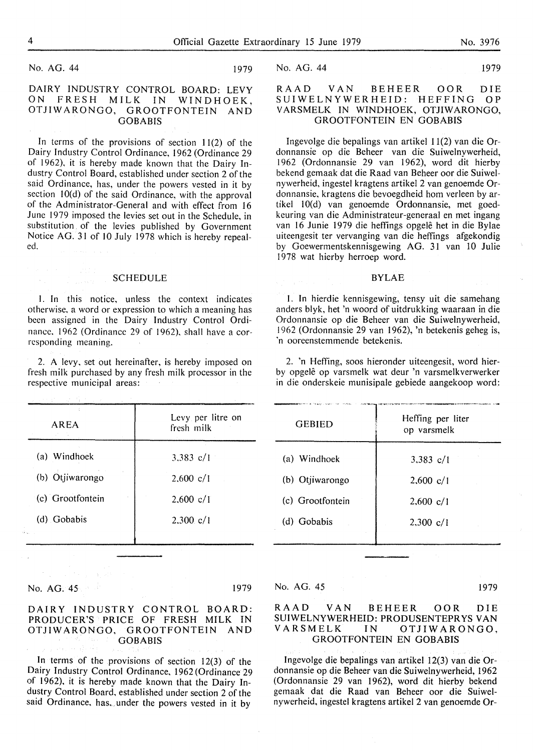No. AG. 44 1979

#### DAIRY INDUSTRY CONTROL BOARD: LEVY ON FRESH MILK IN WINDHOEK, OTJIWARONGO, GROOTFONTEIN AND GOBABIS

In terms of the provisions of section  $11(2)$  of the Dairy Industry Control Ordinance, 1962 (Ordinance 29 of 1962), it is hereby made known that the Dairy Industry Control Board, established under section 2 of the said Ordinance, has, under the powers vested in it by section IO(d) of the said Ordinance, with the approval of the Administrator-General and with effect from 16 June 1979 imposed the levies set out in the Schedule, in substitution of the levies published by Government Notice AG. 31 of 10 July 1978 which is hereby repealed.

#### SCHEDULE

I. In this notice, unless the context indicates otherwise, a word or expression to which a meaning has been assigned in the Dairy Industry Control Ordinance. 1962 (Ordinance 29 of 1962), shall have a corresponding meaning.

2. A levy, set out hereinafter, is hereby imposed on fresh milk purchased by any fresh milk processor in the respective municipal areas:

| AREA             | Levy per litre on<br>fresh milk |
|------------------|---------------------------------|
| (a) Windhoek     | 3.383 $c/1$                     |
| (b) Otjiwarongo  | $2,600 \text{ c}/1$             |
| (c) Grootfontein | $2,600 \text{ c}/1$             |
| (d) Gobabis      | $2.300 \text{ c}/1$             |
|                  |                                 |

No. AG. 45 1979

#### **DAIRY INDUSTRY CONTROL BOARD: PRODUCER'S** PRICE OF **FRESH MILK IN OTJIWARONGO,** GROOTFONTEIN AND **GOBABIS**

In terms of the provisions of section 12(3) of the Dairy Industry Control Ordinance, 1962 (Ordinance 29 of 1962), it is hereby made known that the Dairy Industry Control Board, established under section 2 of the said Ordinance, has, under the powers vested in it by

No. AG. 44 1979

#### RAAD VAN BEHEER OOR DIE<br>SUIWELNYWERHEID: HEFFING OP SUIWELNYWERHEID: HEFFING V ARSMELK IN WINDHOEK, OTJIWARONGO, GROOTFONTEIN EN GOBABIS

Ingevolge die bepalings van artikel 11(2) van die Ordonnansie op die Beheer van die Suiwelnywerheid, 1962 (Ordonnansie 29 van 1962), word dit hierby bekend gemaak dat die Raad van Beheer oor die Suiwelnywerheid, ingestel kragtens artikel 2 van genoemde Ordonnansie, kragtens die bevoegdheid hom verleen by artikel IO(d) van genoemde Ordonnansie, met goedkeuring van die Administrateur-generaal en met ingang van 16 Junie 1979 die heffings opgelê het in die Bylae uiteengesit ter vervanging van die heffings afgekondig by Goewermentskennisgewing AG. 31 van IO Julie 1978 wat hierby herroep word.

#### BYLAE

l. In hierdie kennisgewing, tensy uit die samehang anders blyk, het 'n woord of uitdrukking waaraan in die Ordonnansie op die Beheer van die Suiwelnywerheid, 1962 (Ordonnansie 29 van 1962), 'n betekenis geheg is, 'n ooreenstemmende betekenis.

2. 'n Heffing, soos hieronder uiteengesit, word hierby opgele op varsmelk wat deur 'n varsmelkverwerker in die onderskeie munisipale gebiede aangekoop word: \_\_ ..\_.\_ ~-, ... ~ "•·-•1•nc•a•-~·«-•• •·--,.•-~-- •-

| <b>GEBIED</b>    | Heffing per liter<br>op varsmelk |
|------------------|----------------------------------|
| (a) Windhoek     | 3,383 $c/l$                      |
| (b) Otjiwarongo  | $2,600 \text{ c}/1$              |
| (c) Grootfontein | $2,600 \text{ c}/1$              |
| (d) Gobabis      | $2,300 \text{ c}/1$              |
|                  |                                  |

No. AG. 45 1979

#### RAAD VAN BEHEER OOR DIE SUIWELNYWERHEID: PRODUSENTEPRYS VAN VARSMELK IN OTJIWARONGO, GROOTFONTEIN EN GOBABIS

Ingevolge die bepalings van artikel 12(3) van die Ordonnansie op die Beheer van die Suiwelnywerheid, 1962 (Ordonnansie 29 van 1962), word dit hierby bekend gemaak dat die Raad van Beheer oor die Suiwelnywerheid, ingestel kragtens artikel 2 van genoemde Or-